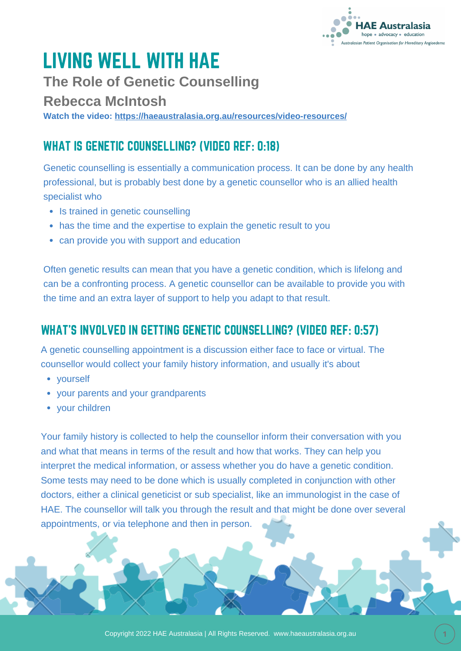

# LIVING WELL WITH HAE

**The Role of Genetic Counselling**

#### **Rebecca McIntosh**

**Watch the video: <https://haeaustralasia.org.au/resources/video-resources/>**

## WHAT IS GENETIC COUNSELLING? (VIDEO REF: 0:18)

Genetic counselling is essentially a communication process. It can be done by any health professional, but is probably best done by a genetic counsellor who is an allied health specialist who

- Is trained in genetic counselling
- has the time and the expertise to explain the genetic result to you
- can provide you with support and education

Often genetic results can mean that you have a genetic condition, which is lifelong and can be a confronting process. A genetic counsellor can be available to provide you with the time and an extra layer of support to help you adapt to that result.

### WHAT'S INVOLVED IN GETTING GENETIC COUNSELLING? (VIDEO REF: 0:57)

A genetic counselling appointment is a discussion either face to face or virtual. The counsellor would collect your family history information, and usually it's about

- vourself
- your parents and your grandparents
- your children

Your family history is collected to help the counsellor inform their conversation with you and what that means in terms of the result and how that works. They can help you interpret the medical information, or assess whether you do have a genetic condition. Some tests may need to be done which is usually completed in conjunction with other doctors, either a clinical geneticist or sub specialist, like an immunologist in the case of HAE. The counsellor will talk you through the result and that might be done over several appointments, or via telephone and then in person.